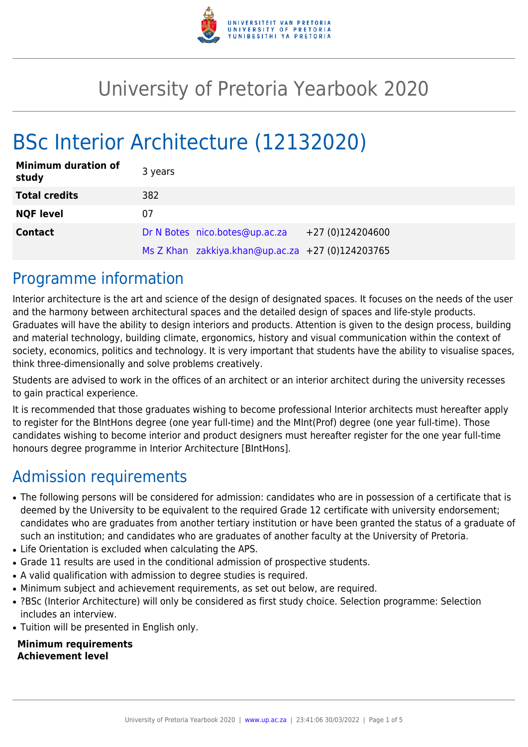

# University of Pretoria Yearbook 2020

# BSc Interior Architecture (12132020)

| <b>Minimum duration of</b><br>study | 3 years |                                                  |                  |
|-------------------------------------|---------|--------------------------------------------------|------------------|
| <b>Total credits</b>                | 382     |                                                  |                  |
| <b>NQF level</b>                    | 07      |                                                  |                  |
| <b>Contact</b>                      |         | Dr N Botes nico.botes@up.ac.za                   | +27 (0)124204600 |
|                                     |         | Ms Z Khan zakkiya.khan@up.ac.za +27 (0)124203765 |                  |

### Programme information

Interior architecture is the art and science of the design of designated spaces. It focuses on the needs of the user and the harmony between architectural spaces and the detailed design of spaces and life-style products. Graduates will have the ability to design interiors and products. Attention is given to the design process, building and material technology, building climate, ergonomics, history and visual communication within the context of society, economics, politics and technology. It is very important that students have the ability to visualise spaces, think three-dimensionally and solve problems creatively.

Students are advised to work in the offices of an architect or an interior architect during the university recesses to gain practical experience.

It is recommended that those graduates wishing to become professional Interior architects must hereafter apply to register for the BIntHons degree (one year full-time) and the MInt(Prof) degree (one year full-time). Those candidates wishing to become interior and product designers must hereafter register for the one year full-time honours degree programme in Interior Architecture [BIntHons].

# Admission requirements

- The following persons will be considered for admission: candidates who are in possession of a certificate that is deemed by the University to be equivalent to the required Grade 12 certificate with university endorsement; candidates who are graduates from another tertiary institution or have been granted the status of a graduate of such an institution; and candidates who are graduates of another faculty at the University of Pretoria.
- Life Orientation is excluded when calculating the APS.
- Grade 11 results are used in the conditional admission of prospective students.
- A valid qualification with admission to degree studies is required.
- Minimum subject and achievement requirements, as set out below, are required.
- ?BSc (Interior Architecture) will only be considered as first study choice. Selection programme: Selection includes an interview.
- Tuition will be presented in English only.

#### **Minimum requirements Achievement level**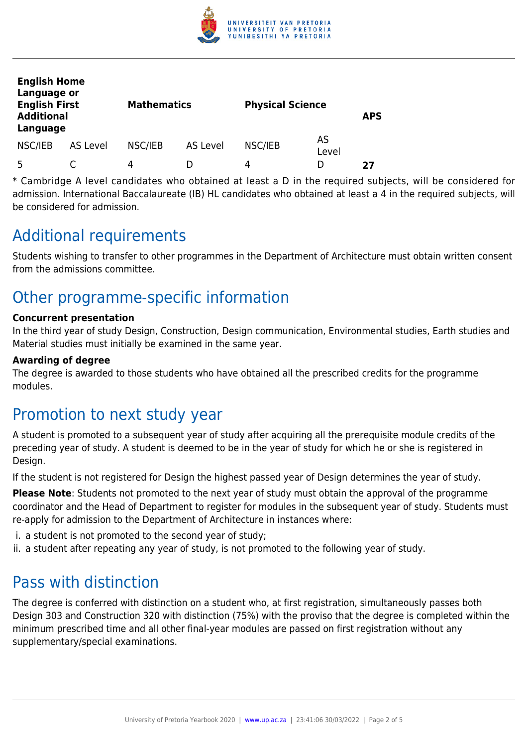

| <b>English Home</b><br>Language or<br><b>English First</b><br><b>Additional</b><br>Language |          | <b>Mathematics</b> |          | <b>Physical Science</b> |             | <b>APS</b> |
|---------------------------------------------------------------------------------------------|----------|--------------------|----------|-------------------------|-------------|------------|
| NSC/IEB                                                                                     | AS Level | NSC/IEB            | AS Level | NSC/IEB                 | AS<br>Level |            |
| 5                                                                                           |          | 4                  |          | 4                       | D           | 27         |

\* Cambridge A level candidates who obtained at least a D in the required subjects, will be considered for admission. International Baccalaureate (IB) HL candidates who obtained at least a 4 in the required subjects, will be considered for admission.

## Additional requirements

Students wishing to transfer to other programmes in the Department of Architecture must obtain written consent from the admissions committee.

# Other programme-specific information

#### **Concurrent presentation**

In the third year of study Design, Construction, Design communication, Environmental studies, Earth studies and Material studies must initially be examined in the same year.

#### **Awarding of degree**

The degree is awarded to those students who have obtained all the prescribed credits for the programme modules.

### Promotion to next study year

A student is promoted to a subsequent year of study after acquiring all the prerequisite module credits of the preceding year of study. A student is deemed to be in the year of study for which he or she is registered in Design.

If the student is not registered for Design the highest passed year of Design determines the year of study.

**Please Note**: Students not promoted to the next year of study must obtain the approval of the programme coordinator and the Head of Department to register for modules in the subsequent year of study. Students must re-apply for admission to the Department of Architecture in instances where:

- i. a student is not promoted to the second year of study;
- ii. a student after repeating any year of study, is not promoted to the following year of study.

### Pass with distinction

The degree is conferred with distinction on a student who, at first registration, simultaneously passes both Design 303 and Construction 320 with distinction (75%) with the proviso that the degree is completed within the minimum prescribed time and all other final-year modules are passed on first registration without any supplementary/special examinations.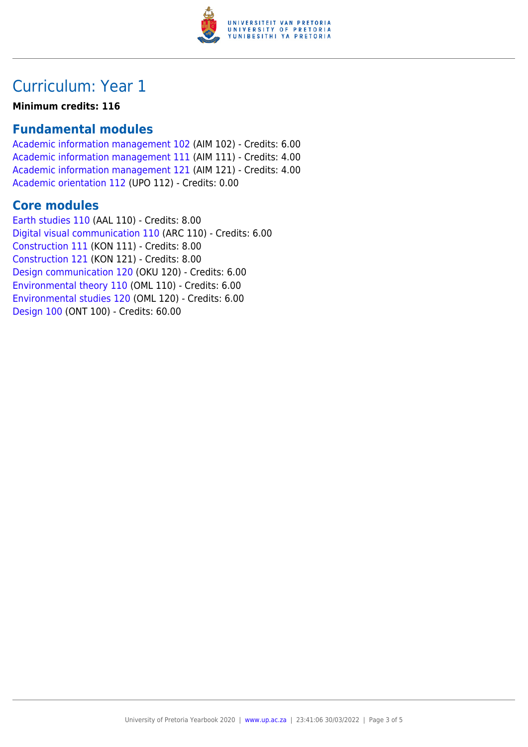

# Curriculum: Year 1

#### **Minimum credits: 116**

### **Fundamental modules**

[Academic information management 102](https://www.up.ac.za/yearbooks/2020/modules/view/AIM 102) (AIM 102) - Credits: 6.00 [Academic information management 111](https://www.up.ac.za/yearbooks/2020/modules/view/AIM 111) (AIM 111) - Credits: 4.00 [Academic information management 121](https://www.up.ac.za/yearbooks/2020/modules/view/AIM 121) (AIM 121) - Credits: 4.00 [Academic orientation 112](https://www.up.ac.za/yearbooks/2020/modules/view/UPO 112) (UPO 112) - Credits: 0.00

#### **Core modules**

[Earth studies 110](https://www.up.ac.za/yearbooks/2020/modules/view/AAL 110) (AAL 110) - Credits: 8.00 [Digital visual communication 110](https://www.up.ac.za/yearbooks/2020/modules/view/ARC 110) (ARC 110) - Credits: 6.00 [Construction 111](https://www.up.ac.za/yearbooks/2020/modules/view/KON 111) (KON 111) - Credits: 8.00 [Construction 121](https://www.up.ac.za/yearbooks/2020/modules/view/KON 121) (KON 121) - Credits: 8.00 [Design communication 120](https://www.up.ac.za/yearbooks/2020/modules/view/OKU 120) (OKU 120) - Credits: 6.00 [Environmental theory 110](https://www.up.ac.za/yearbooks/2020/modules/view/OML 110) (OML 110) - Credits: 6.00 [Environmental studies 120](https://www.up.ac.za/yearbooks/2020/modules/view/OML 120) (OML 120) - Credits: 6.00 [Design 100](https://www.up.ac.za/yearbooks/2020/modules/view/ONT 100) (ONT 100) - Credits: 60.00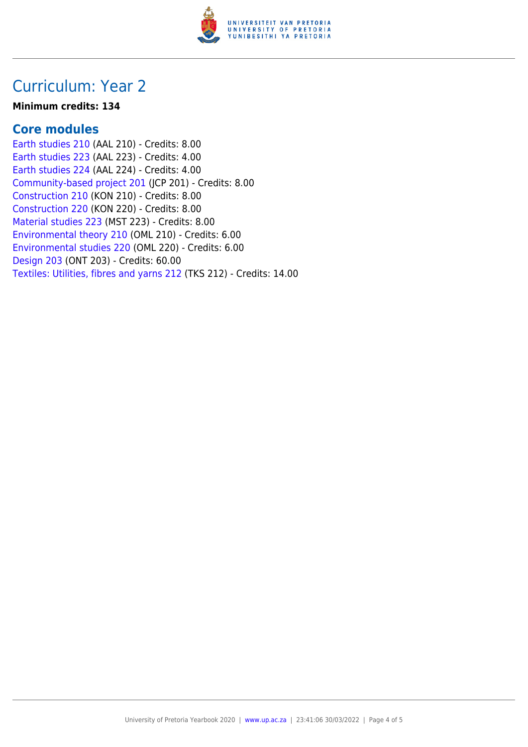

## Curriculum: Year 2

#### **Minimum credits: 134**

#### **Core modules**

[Earth studies 210](https://www.up.ac.za/yearbooks/2020/modules/view/AAL 210) (AAL 210) - Credits: 8.00 [Earth studies 223](https://www.up.ac.za/yearbooks/2020/modules/view/AAL 223) (AAL 223) - Credits: 4.00 [Earth studies 224](https://www.up.ac.za/yearbooks/2020/modules/view/AAL 224) (AAL 224) - Credits: 4.00 [Community-based project 201](https://www.up.ac.za/yearbooks/2020/modules/view/JCP 201) (JCP 201) - Credits: 8.00 [Construction 210](https://www.up.ac.za/yearbooks/2020/modules/view/KON 210) (KON 210) - Credits: 8.00 [Construction 220](https://www.up.ac.za/yearbooks/2020/modules/view/KON 220) (KON 220) - Credits: 8.00 [Material studies 223](https://www.up.ac.za/yearbooks/2020/modules/view/MST 223) (MST 223) - Credits: 8.00 [Environmental theory 210](https://www.up.ac.za/yearbooks/2020/modules/view/OML 210) (OML 210) - Credits: 6.00 [Environmental studies 220](https://www.up.ac.za/yearbooks/2020/modules/view/OML 220) (OML 220) - Credits: 6.00 [Design 203](https://www.up.ac.za/yearbooks/2020/modules/view/ONT 203) (ONT 203) - Credits: 60.00 [Textiles: Utilities, fibres and yarns 212](https://www.up.ac.za/yearbooks/2020/modules/view/TKS 212) (TKS 212) - Credits: 14.00